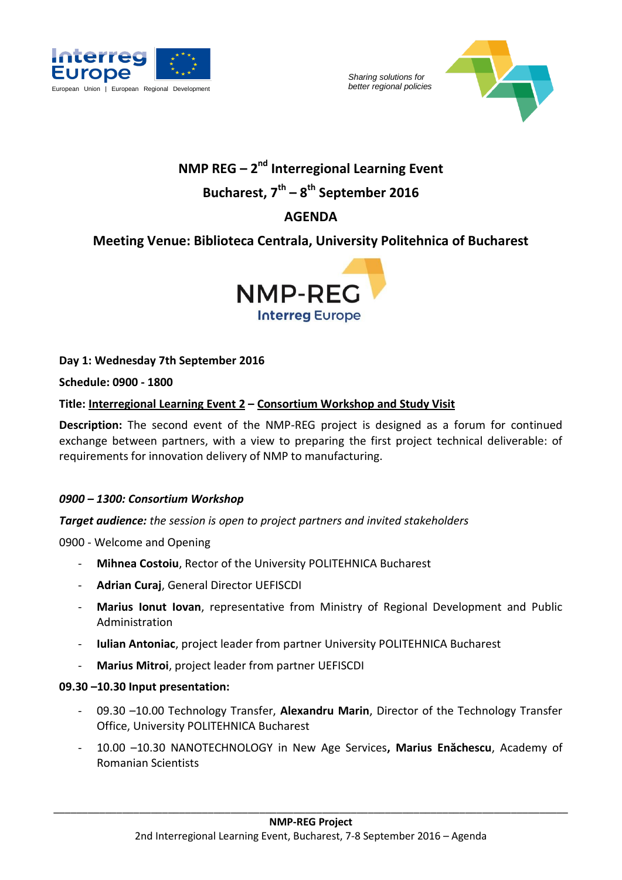



# **NMP REG** – 2<sup>nd</sup> Interregional Learning Event **Bucharest, 7 th – 8 th September 2016**

# **AGENDA**

# **Meeting Venue: Biblioteca Centrala, University Politehnica of Bucharest**



**Day 1: Wednesday 7th September 2016**

**Schedule: 0900 - 1800**

#### **Title: Interregional Learning Event 2 – Consortium Workshop and Study Visit**

**Description:** The second event of the NMP-REG project is designed as a forum for continued exchange between partners, with a view to preparing the first project technical deliverable: of requirements for innovation delivery of NMP to manufacturing.

#### *0900 – 1300: Consortium Workshop*

*Target audience: the session is open to project partners and invited stakeholders*

0900 - Welcome and Opening

- **Mihnea Costoiu**, Rector of the University POLITEHNICA Bucharest
- **Adrian Curaj**, General Director UEFISCDI
- **Marius Ionut Iovan**, representative from Ministry of Regional Development and Public Administration
- **Iulian Antoniac**, project leader from partner University POLITEHNICA Bucharest
- **Marius Mitroi**, project leader from partner UEFISCDI

#### **09.30 –10.30 Input presentation:**

- 09.30 –10.00 Technology Transfer, **Alexandru Marin**, Director of the Technology Transfer Office, University POLITEHNICA Bucharest
- 10.00 –10.30 NANOTECHNOLOGY in New Age Services**, Marius Enăchescu**, Academy of Romanian Scientists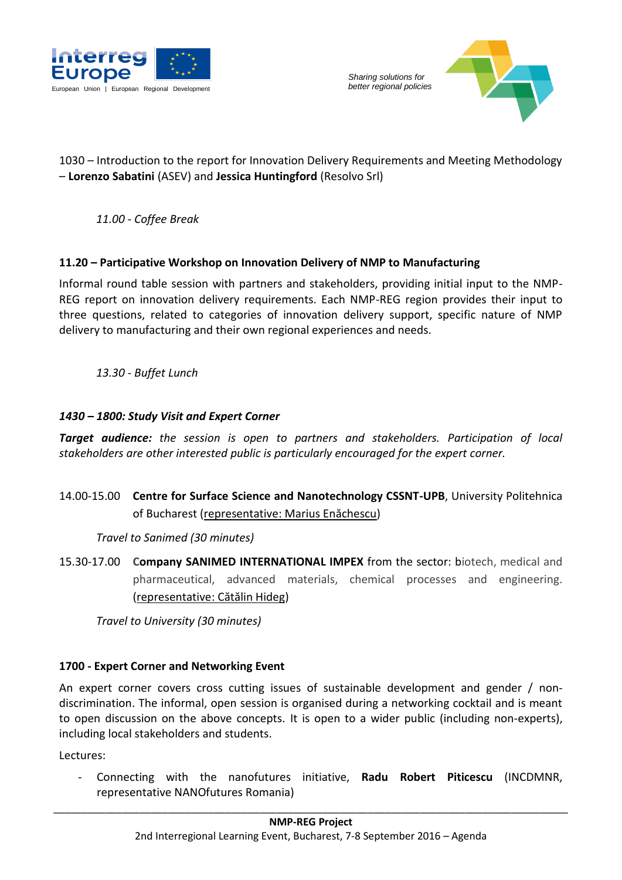



### 1030 – Introduction to the report for Innovation Delivery Requirements and Meeting Methodology – **Lorenzo Sabatini** (ASEV) and **Jessica Huntingford** (Resolvo Srl)

*11.00 - Coffee Break*

#### **11.20 – Participative Workshop on Innovation Delivery of NMP to Manufacturing**

Informal round table session with partners and stakeholders, providing initial input to the NMP-REG report on innovation delivery requirements. Each NMP-REG region provides their input to three questions, related to categories of innovation delivery support, specific nature of NMP delivery to manufacturing and their own regional experiences and needs.

*13.30 - Buffet Lunch*

#### *1430 – 1800: Study Visit and Expert Corner*

*Target audience: the session is open to partners and stakeholders. Participation of local stakeholders are other interested public is particularly encouraged for the expert corner.*

14.00-15.00 **Centre for Surface Science and Nanotechnology CSSNT-UPB**, University Politehnica of Bucharest (representative: Marius Enăchescu)

*Travel to Sanimed (30 minutes)*

15.30-17.00 **Company SANIMED INTERNATIONAL IMPEX** from the sector: biotech, medical and pharmaceutical, advanced materials, chemical processes and engineering. (representative: Cătălin Hideg)

*Travel to University (30 minutes)*

#### **1700 - Expert Corner and Networking Event**

An expert corner covers cross cutting issues of sustainable development and gender / nondiscrimination. The informal, open session is organised during a networking cocktail and is meant to open discussion on the above concepts. It is open to a wider public (including non-experts), including local stakeholders and students.

Lectures:

- Connecting with the nanofutures initiative, **Radu Robert Piticescu** (INCDMNR, representative NANOfutures Romania)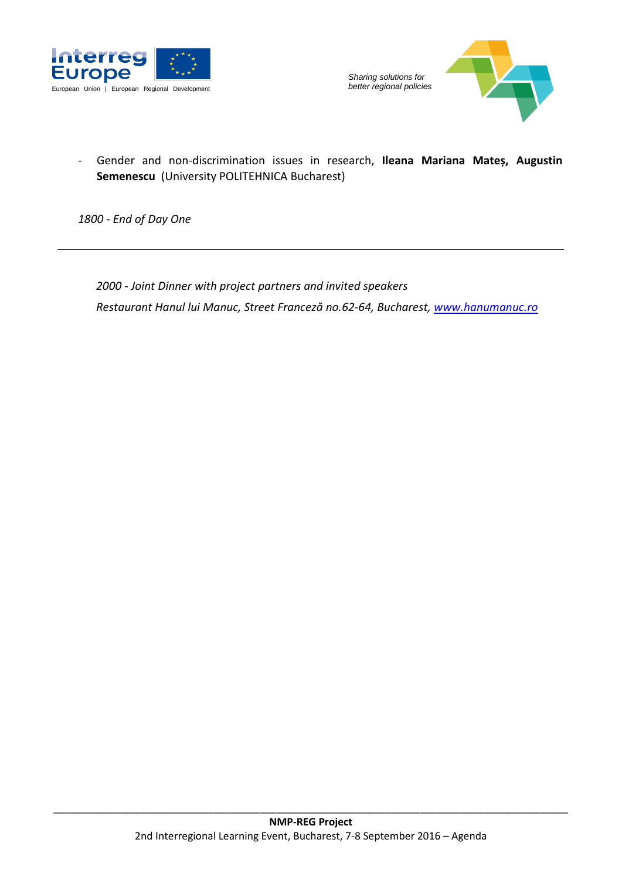



### - Gender and non-discrimination issues in research, **Ileana Mariana Mateș, Augustin Semenescu** (University POLITEHNICA Bucharest)

*1800 - End of Day One*

*2000 - Joint Dinner with project partners and invited speakers Restaurant Hanul lui Manuc, Street Franceză no.62-64, Bucharest, [www.hanumanuc.ro](http://www.hanumanuc.ro/)*